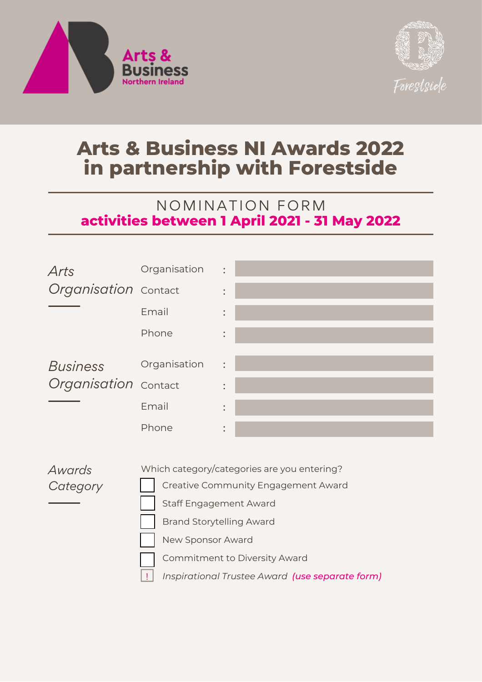



## **Arts & Business NI Awards 2022 in partnership with Forestside**

## NOMINATION FORM **activities between 1 April 2021 - 31 May 2022**



*Awards Category* Which category/categories are you entering?

Creative Community Engagement Award

Staff Engagement Award

Brand Storytelling Award

New Sponsor Award

!

Commitment to Diversity Award

*Inspirational Trustee Award (use separate form)*